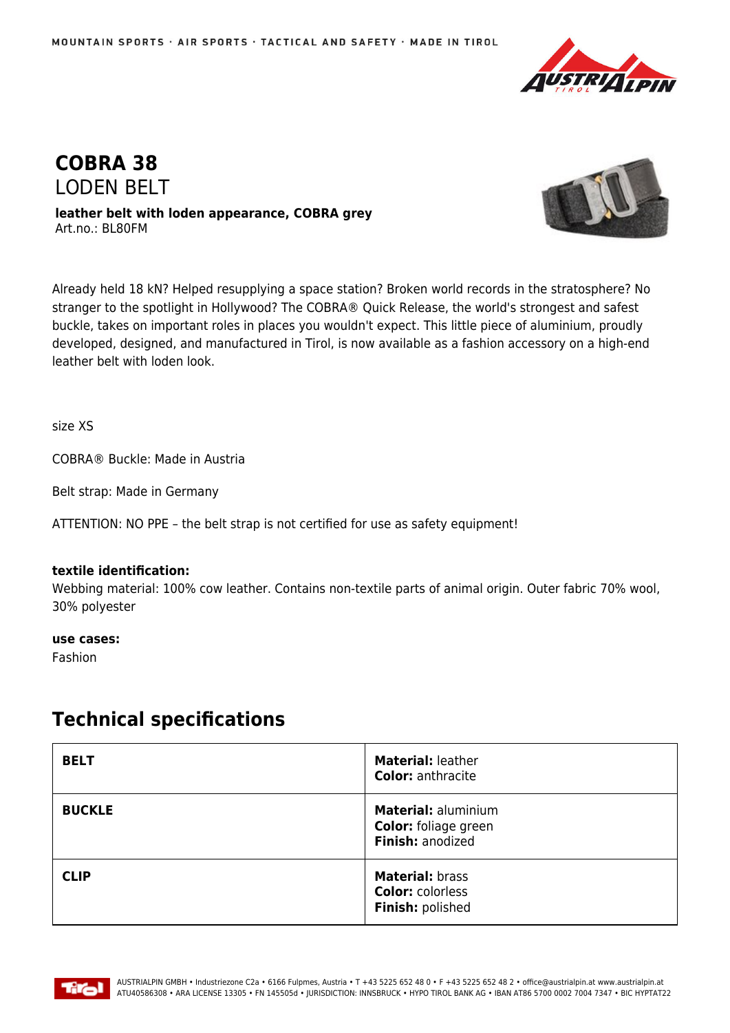



**leather belt with loden appearance, COBRA grey** Art.no.: BL80FM



Already held 18 kN? Helped resupplying a space station? Broken world records in the stratosphere? No stranger to the spotlight in Hollywood? The COBRA® Quick Release, the world's strongest and safest buckle, takes on important roles in places you wouldn't expect. This little piece of aluminium, proudly developed, designed, and manufactured in Tirol, is now available as a fashion accessory on a high-end leather belt with loden look.

size XS

COBRA® Buckle: Made in Austria

Belt strap: Made in Germany

ATTENTION: NO PPE – the belt strap is not certified for use as safety equipment!

## **textile identification:**

Webbing material: 100% cow leather. Contains non-textile parts of animal origin. Outer fabric 70% wool, 30% polyester

**use cases:**

Fashion

## **Technical specifications**

| <b>BELT</b>   | <b>Material: leather</b><br><b>Color: anthracite</b>                          |
|---------------|-------------------------------------------------------------------------------|
| <b>BUCKLE</b> | <b>Material: aluminium</b><br><b>Color:</b> foliage green<br>Finish: anodized |
| <b>CLIP</b>   | <b>Material: brass</b><br><b>Color: colorless</b><br>Finish: polished         |